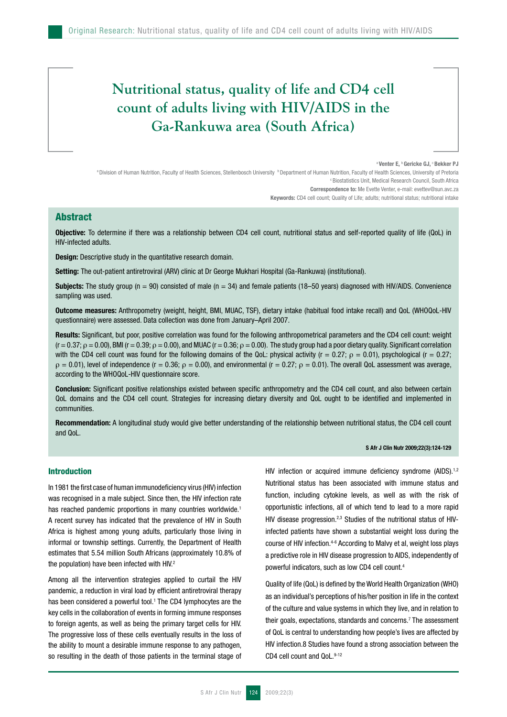# **Nutritional status, quality of life and CD4 cell count of adults living with HIV/AIDS in the Ga-Rankuwa area (South Africa)**

#### <sup>a</sup> Venter E, <sup>b</sup> Gericke GJ, <sup>c</sup> Bekker PJ

a Division of Human Nutrition, Faculty of Health Sciences, Stellenbosch University <sup>b</sup> Department of Human Nutrition, Faculty of Health Sciences, University of Pretoria c Biostatistics Unit, Medical Research Council, South Africa Correspondence to: Me Evette Venter, e-mail: evettev@sun.avc.za

Keywords: CD4 cell count; Quality of Life; adults; nutritional status; nutritional intake

# Abstract

Objective: To determine if there was a relationship between CD4 cell count, nutritional status and self-reported quality of life (QoL) in HIV-infected adults.

**Design:** Descriptive study in the quantitative research domain.

Setting: The out-patient antiretroviral (ARV) clinic at Dr George Mukhari Hospital (Ga-Rankuwa) (institutional).

**Subjects:** The study group ( $n = 90$ ) consisted of male ( $n = 34$ ) and female patients (18–50 years) diagnosed with HIV/AIDS. Convenience sampling was used.

Outcome measures: Anthropometry (weight, height, BMI, MUAC, TSF), dietary intake (habitual food intake recall) and QoL (WHOQoL-HIV questionnaire) were assessed. Data collection was done from January–April 2007.

Results: Significant, but poor, positive correlation was found for the following anthropometrical parameters and the CD4 cell count: weight  $(r = 0.37; \rho = 0.00)$ , BMI (r = 0.39;  $\rho = 0.00$ ), and MUAC (r = 0.36;  $\rho = 0.00$ ). The study group had a poor dietary quality. Significant correlation with the CD4 cell count was found for the following domains of the QoL: physical activity ( $r = 0.27$ ;  $\rho = 0.01$ ), psychological ( $r = 0.27$ ;  $ρ = 0.01$ ), level of independence (r = 0.36;  $ρ = 0.00$ ), and environmental (r = 0.27;  $ρ = 0.01$ ). The overall QoL assessment was average, according to the WHOQoL-HIV questionnaire score.

Conclusion: Significant positive relationships existed between specific anthropometry and the CD4 cell count, and also between certain QoL domains and the CD4 cell count. Strategies for increasing dietary diversity and QoL ought to be identified and implemented in communities.

Recommendation: A longitudinal study would give better understanding of the relationship between nutritional status, the CD4 cell count and QoL.

#### S Afr J Clin Nutr 2009;22(3):124-129

## Introduction

In 1981 the first case of human immunodeficiency virus (HIV) infection was recognised in a male subject. Since then, the HIV infection rate has reached pandemic proportions in many countries worldwide.<sup>1</sup> A recent survey has indicated that the prevalence of HIV in South Africa is highest among young adults, particularly those living in informal or township settings. Currently, the Department of Health estimates that 5.54 million South Africans (approximately 10.8% of the population) have been infected with HIV.<sup>2</sup>

Among all the intervention strategies applied to curtail the HIV pandemic, a reduction in viral load by efficient antiretroviral therapy has been considered a powerful tool.<sup>1</sup> The CD4 lymphocytes are the key cells in the collaboration of events in forming immune responses to foreign agents, as well as being the primary target cells for HIV. The progressive loss of these cells eventually results in the loss of the ability to mount a desirable immune response to any pathogen, so resulting in the death of those patients in the terminal stage of

HIV infection or acquired immune deficiency syndrome (AIDS).<sup>1,2</sup> Nutritional status has been associated with immune status and function, including cytokine levels, as well as with the risk of opportunistic infections, all of which tend to lead to a more rapid HIV disease progression.<sup>2,3</sup> Studies of the nutritional status of HIVinfected patients have shown a substantial weight loss during the course of HIV infection.4-6 According to Malvy et al, weight loss plays a predictive role in HIV disease progression to AIDS, independently of powerful indicators, such as low CD4 cell count.4

Quality of life (QoL) is defined by the World Health Organization (WHO) as an individual's perceptions of his/her position in life in the context of the culture and value systems in which they live, and in relation to their goals, expectations, standards and concerns.<sup>7</sup> The assessment of QoL is central to understanding how people's lives are affected by HIV infection.8 Studies have found a strong association between the CD4 cell count and QoL.9-12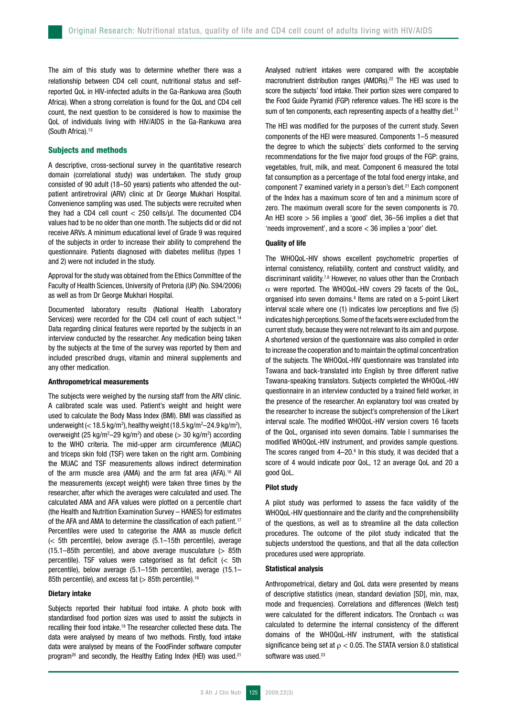The aim of this study was to determine whether there was a relationship between CD4 cell count, nutritional status and selfreported QoL in HIV-infected adults in the Ga-Rankuwa area (South Africa). When a strong correlation is found for the QoL and CD4 cell count, the next question to be considered is how to maximise the QoL of individuals living with HIV/AIDS in the Ga-Rankuwa area (South Africa).<sup>13</sup>

## Subjects and methods

A descriptive, cross-sectional survey in the quantitative research domain (correlational study) was undertaken. The study group consisted of 90 adult (18–50 years) patients who attended the outpatient antiretroviral (ARV) clinic at Dr George Mukhari Hospital. Convenience sampling was used. The subjects were recruited when they had a CD4 cell count  $<$  250 cells/ul. The documented CD4 values had to be no older than one month. The subjects did or did not receive ARVs. A minimum educational level of Grade 9 was required of the subjects in order to increase their ability to comprehend the questionnaire. Patients diagnosed with diabetes mellitus (types 1 and 2) were not included in the study.

Approval for the study was obtained from the Ethics Committee of the Faculty of Health Sciences, University of Pretoria (UP) (No. S94/2006) as well as from Dr George Mukhari Hospital.

Documented laboratory results (National Health Laboratory Services) were recorded for the CD4 cell count of each subject.<sup>14</sup> Data regarding clinical features were reported by the subjects in an interview conducted by the researcher. Any medication being taken by the subjects at the time of the survey was reported by them and included prescribed drugs, vitamin and mineral supplements and any other medication.

#### Anthropometrical measurements

The subjects were weighed by the nursing staff from the ARV clinic. A calibrated scale was used. Patient's weight and height were used to calculate the Body Mass Index (BMI). BMI was classified as underweight ( $<$  18.5 kg/m²), healthy weight (18.5 kg/m²–24.9 kg/m²), overweight (25 kg/m<sup>2</sup>–29 kg/m<sup>2</sup>) and obese ( $>$  30 kg/m<sup>2</sup>) according to the WHO criteria. The mid-upper arm circumference (MUAC) and triceps skin fold (TSF) were taken on the right arm. Combining the MUAC and TSF measurements allows indirect determination of the arm muscle area (AMA) and the arm fat area (AFA).16 All the measurements (except weight) were taken three times by the researcher, after which the averages were calculated and used. The calculated AMA and AFA values were plotted on a percentile chart (the Health and Nutrition Examination Survey – HANES) for estimates of the AFA and AMA to determine the classification of each patient.<sup>17</sup> Percentiles were used to categorise the AMA as muscle deficit (< 5th percentile), below average (5.1–15th percentile), average  $(15.1-85th$  percentile), and above average musculature  $(> 85th)$ percentile). TSF values were categorised as fat deficit (< 5th percentile), below average (5.1–15th percentile), average (15.1– 85th percentile), and excess fat (> 85th percentile).<sup>18</sup>

## Dietary intake

Subjects reported their habitual food intake. A photo book with standardised food portion sizes was used to assist the subjects in recalling their food intake.19 The researcher collected these data. The data were analysed by means of two methods. Firstly, food intake data were analysed by means of the FoodFinder software computer program<sup>20</sup> and secondly, the Healthy Eating Index (HEI) was used.<sup>21</sup>

Analysed nutrient intakes were compared with the acceptable macronutrient distribution ranges (AMDRs).<sup>22</sup> The HEI was used to score the subjects' food intake. Their portion sizes were compared to the Food Guide Pyramid (FGP) reference values. The HEI score is the sum of ten components, each representing aspects of a healthy diet.<sup>21</sup>

The HEI was modified for the purposes of the current study. Seven components of the HEI were measured. Components 1–5 measured the degree to which the subjects' diets conformed to the serving recommendations for the five major food groups of the FGP: grains, vegetables, fruit, milk, and meat. Component 6 measured the total fat consumption as a percentage of the total food energy intake, and component 7 examined variety in a person's diet.<sup>21</sup> Each component of the Index has a maximum score of ten and a minimum score of zero. The maximum overall score for the seven components is 70. An HEI score > 56 implies a 'good' diet, 36–56 implies a diet that 'needs improvement', and a score < 36 implies a 'poor' diet.

## Quality of life

The WHOQoL-HIV shows excellent psychometric properties of internal consistency, reliability, content and construct validity, and discriminant validity.7,8 However, no values other than the Cronbach  $\alpha$  were reported. The WHOQoL-HIV covers 29 facets of the QoL, organised into seven domains.<sup>8</sup> Items are rated on a 5-point Likert interval scale where one (1) indicates low perceptions and five (5) indicates high perceptions. Some of the facets were excluded from the current study, because they were not relevant to its aim and purpose. A shortened version of the questionnaire was also compiled in order to increase the cooperation and to maintain the optimal concentration of the subjects. The WHOQoL-HIV questionnaire was translated into Tswana and back-translated into English by three different native Tswana-speaking translators. Subjects completed the WHOQoL-HIV questionnaire in an interview conducted by a trained field worker, in the presence of the researcher. An explanatory tool was created by the researcher to increase the subject's comprehension of the Likert interval scale. The modified WHOQoL-HIV version covers 16 facets of the QoL, organised into seven domains. Table I summarises the modified WHOQoL-HIV instrument, and provides sample questions. The scores ranged from  $4-20$ .<sup>8</sup> In this study, it was decided that a score of 4 would indicate poor QoL, 12 an average QoL and 20 a good QoL.

## Pilot study

A pilot study was performed to assess the face validity of the WHOQoL-HIV questionnaire and the clarity and the comprehensibility of the questions, as well as to streamline all the data collection procedures. The outcome of the pilot study indicated that the subjects understood the questions, and that all the data collection procedures used were appropriate.

## Statistical analysis

Anthropometrical, dietary and QoL data were presented by means of descriptive statistics (mean, standard deviation [SD], min, max, mode and frequencies). Correlations and differences (Welch test) were calculated for the different indicators. The Cronbach  $\alpha$  was calculated to determine the internal consistency of the different domains of the WHOQoL-HIV instrument, with the statistical significance being set at  $\rho < 0.05$ . The STATA version 8.0 statistical software was used.<sup>23</sup>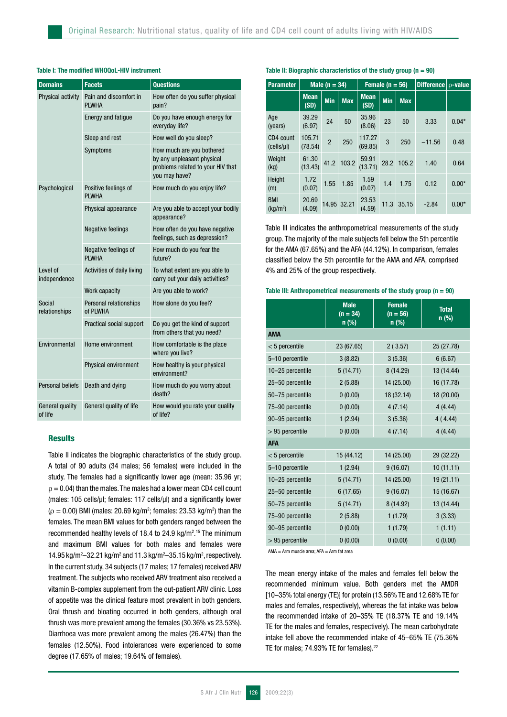| <b>Domains</b>             | <b>Facets</b>                        | <b>Ouestions</b>                                                                                              |  |  |  |
|----------------------------|--------------------------------------|---------------------------------------------------------------------------------------------------------------|--|--|--|
| Physical activity          | Pain and discomfort in<br>PI WHA     | How often do you suffer physical<br>pain?                                                                     |  |  |  |
|                            | <b>Energy and fatigue</b>            | Do you have enough energy for<br>everyday life?                                                               |  |  |  |
|                            | Sleep and rest                       | How well do you sleep?                                                                                        |  |  |  |
|                            | Symptoms                             | How much are you bothered<br>by any unpleasant physical<br>problems related to your HIV that<br>you may have? |  |  |  |
| Psychological              | Positive feelings of<br>PI WHA       | How much do you enjoy life?                                                                                   |  |  |  |
|                            | Physical appearance                  | Are you able to accept your bodily<br>appearance?                                                             |  |  |  |
|                            | <b>Negative feelings</b>             | How often do you have negative<br>feelings, such as depression?                                               |  |  |  |
|                            | Negative feelings of<br><b>PLWHA</b> | How much do you fear the<br>future?                                                                           |  |  |  |
| Level of<br>independence   | Activities of daily living           | To what extent are you able to<br>carry out your daily activities?                                            |  |  |  |
|                            | Work capacity                        | Are you able to work?                                                                                         |  |  |  |
| Social<br>relationships    | Personal relationships<br>of PLWHA   | How alone do you feel?                                                                                        |  |  |  |
|                            | Practical social support             | Do you get the kind of support<br>from others that you need?                                                  |  |  |  |
| Environmental              | Home environment                     | How comfortable is the place<br>where you live?                                                               |  |  |  |
|                            | Physical environment                 | How healthy is your physical<br>environment?                                                                  |  |  |  |
| Personal beliefs           | Death and dying                      | How much do you worry about<br>death?                                                                         |  |  |  |
| General quality<br>of life | General quality of life              | How would you rate your quality<br>of life?                                                                   |  |  |  |

# Table I: The modified WHOQoL-HIV instrument

# Results

Table II indicates the biographic characteristics of the study group. A total of 90 adults (34 males; 56 females) were included in the study. The females had a significantly lower age (mean: 35.96 yr;  $\rho = 0.04$ ) than the males. The males had a lower mean CD4 cell count (males: 105 cells/µl; females: 117 cells/µl) and a significantly lower  $(\rho = 0.00)$  BMI (males: 20.69 kg/m<sup>2</sup>; females: 23.53 kg/m<sup>2</sup>) than the females. The mean BMI values for both genders ranged between the recommended healthy levels of 18.4 to 24.9  $kg/m<sup>2.15</sup>$  The minimum and maximum BMI values for both males and females were 14.95 kg/m<sup>2</sup>-32.21 kg/m<sup>2</sup> and 11.3 kg/m<sup>2</sup>-35.15 kg/m<sup>2</sup>, respectively. In the current study, 34 subjects (17 males; 17 females) received ARV treatment. The subjects who received ARV treatment also received a vitamin B-complex supplement from the out-patient ARV clinic. Loss of appetite was the clinical feature most prevalent in both genders. Oral thrush and bloating occurred in both genders, although oral thrush was more prevalent among the females (30.36% vs 23.53%). Diarrhoea was more prevalent among the males (26.47%) than the females (12.50%). Food intolerances were experienced to some degree (17.65% of males; 19.64% of females).

## Table II: Biographic characteristics of the study group ( $n = 90$ )

| <b>Parameter</b>                   | Male $(n = 34)$     |            |             |                     | Female $(n = 56)$ |            | Difference $\rho$ -value |         |
|------------------------------------|---------------------|------------|-------------|---------------------|-------------------|------------|--------------------------|---------|
|                                    | <b>Mean</b><br>(SD) | <b>Min</b> | <b>Max</b>  | <b>Mean</b><br>(SD) | <b>Min</b>        | <b>Max</b> |                          |         |
| Age<br>(years)                     | 39.29<br>(6.97)     | 24         | 50          | 35.96<br>(8.06)     | 23                | 50         | 3.33                     | $0.04*$ |
| CD4 count<br>(cells/µl)            | 105.71<br>(78.54)   | 2          | 250         | 117.27<br>(69.85)   | 3                 | 250        | $-11.56$                 | 0.48    |
| Weight<br>(kg)                     | 61.30<br>(13.43)    | 41.2       | 103.2       | 59.91<br>(13.71)    | 28.2              | 105.2      | 1.40                     | 0.64    |
| Height<br>(m)                      | 1.72<br>(0.07)      | 1.55       | 1.85        | 1.59<br>(0.07)      | 1.4               | 1.75       | 0.12                     | $0.00*$ |
| <b>BMI</b><br>(kg/m <sup>2</sup> ) | 20.69<br>(4.09)     |            | 14.95 32.21 | 23.53<br>(4.59)     | 11.3              | 35.15      | $-2.84$                  | $0.00*$ |

Table III indicates the anthropometrical measurements of the study group. The majority of the male subjects fell below the 5th percentile for the AMA (67.65%) and the AFA (44.12%). In comparison, females classified below the 5th percentile for the AMA and AFA, comprised 4% and 25% of the group respectively.

### Table III: Anthropometrical measurements of the study group ( $n = 90$ )

|                   | <b>Male</b><br>$(n = 34)$<br>n (%) | <b>Female</b><br>$(n = 56)$<br>n (%) | <b>Total</b><br>$n$ (%) |  |  |  |  |  |
|-------------------|------------------------------------|--------------------------------------|-------------------------|--|--|--|--|--|
| <b>AMA</b>        |                                    |                                      |                         |  |  |  |  |  |
| $< 5$ percentile  | 23 (67.65)                         | 2(3.57)                              | 25 (27.78)              |  |  |  |  |  |
| 5-10 percentile   | 3(8.82)                            | 3(5.36)                              | 6(6.67)                 |  |  |  |  |  |
| 10-25 percentile  | 5(14.71)                           | 8 (14.29)                            | 13 (14.44)              |  |  |  |  |  |
| 25-50 percentile  | 2(5.88)                            | 14 (25.00)                           | 16 (17.78)              |  |  |  |  |  |
| 50-75 percentile  | 0(0.00)                            | 18 (32.14)                           | 18 (20.00)              |  |  |  |  |  |
| 75-90 percentile  | 0(0.00)                            | 4(7.14)                              | 4(4.44)                 |  |  |  |  |  |
| 90-95 percentile  | 1(2.94)                            | 3(5.36)                              | 4(4.44)                 |  |  |  |  |  |
| $> 95$ percentile | 0(0.00)                            | 4(7.14)                              | 4(4.44)                 |  |  |  |  |  |
| <b>AFA</b>        |                                    |                                      |                         |  |  |  |  |  |
| $< 5$ percentile  | 15 (44.12)                         | 14 (25.00)                           | 29 (32.22)              |  |  |  |  |  |
| 5-10 percentile   | 1(2.94)                            | 9(16.07)                             | 10(11.11)               |  |  |  |  |  |
| 10-25 percentile  | 5(14.71)                           | 14 (25.00)                           | 19 (21.11)              |  |  |  |  |  |
| 25-50 percentile  | 6(17.65)                           | 9(16.07)                             | 15 (16.67)              |  |  |  |  |  |
| 50-75 percentile  | 5(14.71)                           | 8 (14.92)                            | 13 (14.44)              |  |  |  |  |  |
| 75-90 percentile  | 2(5.88)                            | 1(1.79)                              | 3(3.33)                 |  |  |  |  |  |
| 90-95 percentile  | 0(0.00)                            | 1(1.79)                              | 1(1.11)                 |  |  |  |  |  |
| $> 95$ percentile | 0(0.00)                            | 0(0.00)                              | 0(0.00)                 |  |  |  |  |  |

AMA = Arm muscle area; AFA = Arm fat area

The mean energy intake of the males and females fell below the recommended minimum value. Both genders met the AMDR [10–35% total energy (TE)] for protein (13.56% TE and 12.68% TE for males and females, respectively), whereas the fat intake was below the recommended intake of 20–35% TE (18.37% TE and 19.14% TE for the males and females, respectively). The mean carbohydrate intake fell above the recommended intake of 45–65% TE (75.36% TE for males: 74.93% TE for females).<sup>22</sup>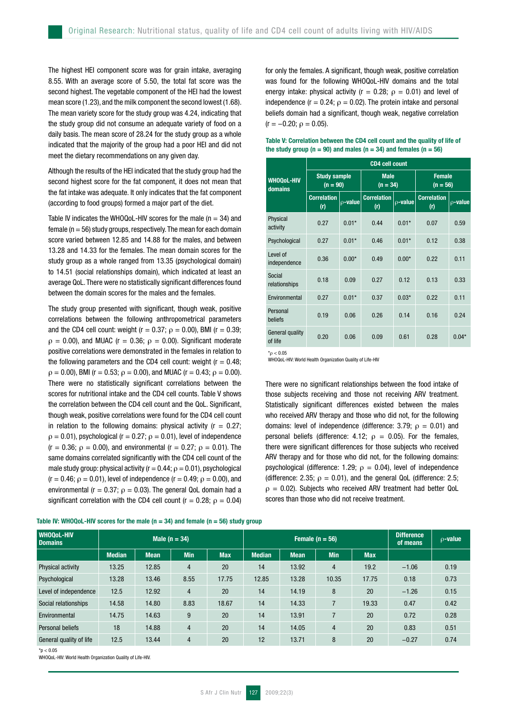The highest HEI component score was for grain intake, averaging 8.55. With an average score of 5.50, the total fat score was the second highest. The vegetable component of the HEI had the lowest mean score (1.23), and the milk component the second lowest (1.68). The mean variety score for the study group was 4.24, indicating that the study group did not consume an adequate variety of food on a daily basis. The mean score of 28.24 for the study group as a whole indicated that the majority of the group had a poor HEI and did not meet the dietary recommendations on any given day.

Although the results of the HEI indicated that the study group had the second highest score for the fat component, it does not mean that the fat intake was adequate. It only indicates that the fat component (according to food groups) formed a major part of the diet.

Table IV indicates the WHOQoL-HIV scores for the male ( $n = 34$ ) and female ( $n = 56$ ) study groups, respectively. The mean for each domain score varied between 12.85 and 14.88 for the males, and between 13.28 and 14.33 for the females. The mean domain scores for the study group as a whole ranged from 13.35 (psychological domain) to 14.51 (social relationships domain), which indicated at least an average QoL. There were no statistically significant differences found between the domain scores for the males and the females.

The study group presented with significant, though weak, positive correlations between the following anthropometrical parameters and the CD4 cell count: weight ( $r = 0.37$ ;  $\rho = 0.00$ ), BMI ( $r = 0.39$ ;  $\rho = 0.00$ ), and MUAC (r = 0.36;  $\rho = 0.00$ ). Significant moderate positive correlations were demonstrated in the females in relation to the following parameters and the CD4 cell count: weight  $(r = 0.48;$  $\rho = 0.00$ ), BMI (r = 0.53;  $\rho = 0.00$ ), and MUAC (r = 0.43;  $\rho = 0.00$ ). There were no statistically significant correlations between the scores for nutritional intake and the CD4 cell counts. Table V shows the correlation between the CD4 cell count and the QoL. Significant, though weak, positive correlations were found for the CD4 cell count in relation to the following domains: physical activity ( $r = 0.27$ ;  $\rho = 0.01$ ), psychological (r = 0.27;  $\rho = 0.01$ ), level of independence (r = 0.36;  $\rho$  = 0.00), and environmental (r = 0.27;  $\rho$  = 0.01). The same domains correlated significantly with the CD4 cell count of the male study group: physical activity ( $r = 0.44$ ;  $\rho = 0.01$ ), psychological  $(r = 0.46; \rho = 0.01)$ , level of independence  $(r = 0.49; \rho = 0.00)$ , and environmental ( $r = 0.37$ ;  $\rho = 0.03$ ). The general QoL domain had a significant correlation with the CD4 cell count ( $r = 0.28$ ;  $\rho = 0.04$ )

for only the females. A significant, though weak, positive correlation was found for the following WHOQoL-HIV domains and the total energy intake: physical activity ( $r = 0.28$ ;  $\rho = 0.01$ ) and level of independence ( $r = 0.24$ ;  $\rho = 0.02$ ). The protein intake and personal beliefs domain had a significant, though weak, negative correlation  $(r = -0.20; \rho = 0.05)$ .

|                                   | <b>CD4 cell count</b>             |               |                           |               |                             |               |  |  |
|-----------------------------------|-----------------------------------|---------------|---------------------------|---------------|-----------------------------|---------------|--|--|
| <b>WHOQoL-HIV</b><br>domains      | <b>Study sample</b><br>$(n = 90)$ |               | <b>Male</b><br>$(n = 34)$ |               | <b>Female</b><br>$(n = 56)$ |               |  |  |
|                                   | <b>Correlation</b><br>(r)         | $\rho$ -value | <b>Correlation</b><br>(r) | $\rho$ -value | <b>Correlation</b><br>(r)   | $\rho$ -value |  |  |
| Physical<br>activity              | 0.27                              | $0.01*$       | 0.44                      | $0.01*$       | 0.07                        | 0.59          |  |  |
| Psychological                     | 0.27                              | $0.01*$       | 0.46                      | $0.01*$       | 0.12                        | 0.38          |  |  |
| Level of<br>independence          | 0.36                              | $0.00*$       | 0.49                      | $0.00*$       | 0.22                        | 0.11          |  |  |
| Social<br>relationships           | 0.18                              | 0.09          | 0.27                      | 0.12          | 0.13                        | 0.33          |  |  |
| Environmental                     | 0.27                              | $0.01*$       | 0.37                      | $0.03*$       | 0.22                        | 0.11          |  |  |
| Personal<br>beliefs               | 0.19                              | 0.06          | 0.26                      | 0.14          | 0.16                        | 0.24          |  |  |
| <b>General quality</b><br>of life | 0.20                              | 0.06          | 0.09                      | 0.61          | 0.28                        | $0.04*$       |  |  |

### Table V: Correlation between the CD4 cell count and the quality of life of the study group ( $n = 90$ ) and males ( $n = 34$ ) and females ( $n = 56$ )

\*ρ < 0.05

WHOQoL-HIV: World Health Organization Quality of Life-HIV

There were no significant relationships between the food intake of those subjects receiving and those not receiving ARV treatment. Statistically significant differences existed between the males who received ARV therapy and those who did not, for the following domains: level of independence (difference: 3.79;  $\rho = 0.01$ ) and personal beliefs (difference: 4.12;  $\rho = 0.05$ ). For the females, there were significant differences for those subjects who received ARV therapy and for those who did not, for the following domains: psychological (difference: 1.29;  $\rho = 0.04$ ), level of independence (difference: 2.35;  $\rho = 0.01$ ), and the general QoL (difference: 2.5;  $\rho = 0.02$ ). Subjects who received ARV treatment had better QoL scores than those who did not receive treatment.

| <b>WHOOOL-HIV</b><br><b>Domains</b> | Male $(n = 34)$ |             |                |            | Female $(n = 56)$ |             |                |            | <b>Difference</b><br>of means | $\rho$ -value |
|-------------------------------------|-----------------|-------------|----------------|------------|-------------------|-------------|----------------|------------|-------------------------------|---------------|
|                                     | <b>Median</b>   | <b>Mean</b> | <b>Min</b>     | <b>Max</b> | <b>Median</b>     | <b>Mean</b> | <b>Min</b>     | <b>Max</b> |                               |               |
| Physical activity                   | 13.25           | 12.85       | 4              | 20         | 14                | 13.92       | $\overline{4}$ | 19.2       | $-1.06$                       | 0.19          |
| Psychological                       | 13.28           | 13.46       | 8.55           | 17.75      | 12.85             | 13.28       | 10.35          | 17.75      | 0.18                          | 0.73          |
| Level of independence               | 12.5            | 12.92       | $\overline{4}$ | 20         | 14                | 14.19       | 8              | 20         | $-1.26$                       | 0.15          |
| Social relationships                | 14.58           | 14.80       | 8.83           | 18.67      | 14                | 14.33       | $\overline{7}$ | 19.33      | 0.47                          | 0.42          |
| Environmental                       | 14.75           | 14.63       | 9              | 20         | 14                | 13.91       | $\overline{7}$ | 20         | 0.72                          | 0.28          |
| Personal beliefs                    | 18              | 14.88       | $\overline{4}$ | 20         | 14                | 14.05       | $\overline{4}$ | 20         | 0.83                          | 0.51          |
| General quality of life             | 12.5            | 13.44       | $\overline{4}$ | 20         | 12                | 13.71       | 8              | 20         | $-0.27$                       | 0.74          |

Table IV: WHOQoL-HIV scores for the male (n = 34) and female (n = 56) study group

 $*<sub>D</sub> < 0.05$ 

WHOQoL-HIV: World Health Organization Quality of Life-HIV.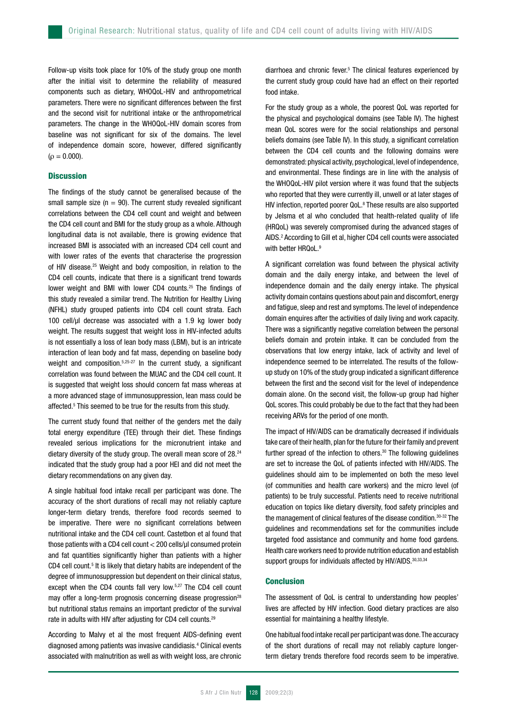Follow-up visits took place for 10% of the study group one month after the initial visit to determine the reliability of measured components such as dietary, WHOQoL-HIV and anthropometrical parameters. There were no significant differences between the first and the second visit for nutritional intake or the anthropometrical parameters. The change in the WHOQoL-HIV domain scores from baseline was not significant for six of the domains. The level of independence domain score, however, differed significantly  $(\rho = 0.000)$ .

## **Discussion**

The findings of the study cannot be generalised because of the small sample size  $(n = 90)$ . The current study revealed significant correlations between the CD4 cell count and weight and between the CD4 cell count and BMI for the study group as a whole. Although longitudinal data is not available, there is growing evidence that increased BMI is associated with an increased CD4 cell count and with lower rates of the events that characterise the progression of HIV disease.25 Weight and body composition, in relation to the CD4 cell counts, indicate that there is a significant trend towards lower weight and BMI with lower CD4 counts.<sup>25</sup> The findings of this study revealed a similar trend. The Nutrition for Healthy Living (NFHL) study grouped patients into CD4 cell count strata. Each 100 cell/ul decrease was associated with a 1.9 kg lower body weight. The results suggest that weight loss in HIV-infected adults is not essentially a loss of lean body mass (LBM), but is an intricate interaction of lean body and fat mass, depending on baseline body weight and composition.<sup>5,25-27</sup> In the current study, a significant correlation was found between the MUAC and the CD4 cell count. It is suggested that weight loss should concern fat mass whereas at a more advanced stage of immunosuppression, lean mass could be affected.<sup>5</sup> This seemed to be true for the results from this study.

The current study found that neither of the genders met the daily total energy expenditure (TEE) through their diet. These findings revealed serious implications for the micronutrient intake and dietary diversity of the study group. The overall mean score of 28.<sup>24</sup> indicated that the study group had a poor HEI and did not meet the dietary recommendations on any given day.

A single habitual food intake recall per participant was done. The accuracy of the short durations of recall may not reliably capture longer-term dietary trends, therefore food records seemed to be imperative. There were no significant correlations between nutritional intake and the CD4 cell count. Castetbon et al found that those patients with a CD4 cell count < 200 cells/µl consumed protein and fat quantities significantly higher than patients with a higher CD4 cell count.<sup>5</sup> It is likely that dietary habits are independent of the degree of immunosuppression but dependent on their clinical status, except when the CD4 counts fall very low.<sup>5,27</sup> The CD4 cell count may offer a long-term prognosis concerning disease progression<sup>28</sup> but nutritional status remains an important predictor of the survival rate in adults with HIV after adjusting for CD4 cell counts.29

According to Malvy et al the most frequent AIDS-defining event diagnosed among patients was invasive candidiasis.4 Clinical events associated with malnutrition as well as with weight loss, are chronic

diarrhoea and chronic fever.<sup>5</sup> The clinical features experienced by the current study group could have had an effect on their reported food intake.

For the study group as a whole, the poorest QoL was reported for the physical and psychological domains (see Table IV). The highest mean QoL scores were for the social relationships and personal beliefs domains (see Table IV). In this study, a significant correlation between the CD4 cell counts and the following domains were demonstrated: physical activity, psychological, level of independence, and environmental. These findings are in line with the analysis of the WHOQoL-HIV pilot version where it was found that the subjects who reported that they were currently ill, unwell or at later stages of HIV infection, reported poorer QoL.<sup>8</sup> These results are also supported by Jelsma et al who concluded that health-related quality of life (HRQoL) was severely compromised during the advanced stages of AIDS.2 According to Gill et al, higher CD4 cell counts were associated with better HROoL.<sup>9</sup>

A significant correlation was found between the physical activity domain and the daily energy intake, and between the level of independence domain and the daily energy intake. The physical activity domain contains questions about pain and discomfort, energy and fatigue, sleep and rest and symptoms. The level of independence domain enquires after the activities of daily living and work capacity. There was a significantly negative correlation between the personal beliefs domain and protein intake. It can be concluded from the observations that low energy intake, lack of activity and level of independence seemed to be interrelated. The results of the followup study on 10% of the study group indicated a significant difference between the first and the second visit for the level of independence domain alone. On the second visit, the follow-up group had higher QoL scores. This could probably be due to the fact that they had been receiving ARVs for the period of one month.

The impact of HIV/AIDS can be dramatically decreased if individuals take care of their health, plan for the future for their family and prevent further spread of the infection to others.<sup>30</sup> The following guidelines are set to increase the QoL of patients infected with HIV/AIDS. The guidelines should aim to be implemented on both the meso level (of communities and health care workers) and the micro level (of patients) to be truly successful. Patients need to receive nutritional education on topics like dietary diversity, food safety principles and the management of clinical features of the disease condition.30-32 The guidelines and recommendations set for the communities include targeted food assistance and community and home food gardens. Health care workers need to provide nutrition education and establish support groups for individuals affected by HIV/AIDS. 30,33,34

## Conclusion

The assessment of QoL is central to understanding how peoples' lives are affected by HIV infection. Good dietary practices are also essential for maintaining a healthy lifestyle.

One habitual food intake recall per participant was done. The accuracy of the short durations of recall may not reliably capture longerterm dietary trends therefore food records seem to be imperative.